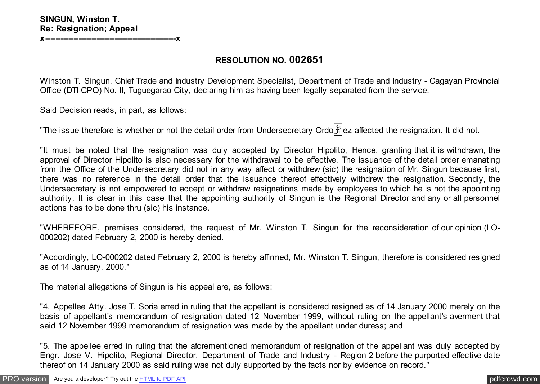**RESOLUTION NO. 002651**

Winston T. Singun, Chief Trade and Industry Development Specialist, Department of Trade and Industry - Cagayan Provincial Office (DTI-CPO) No. II, Tuguegarao City, declaring him as having been legally separated from the service.

Said Decision reads, in part, as follows:

"The issue therefore is whether or not the detail order from Undersecretary Ordo  $\frac{29}{11}$  ez affected the resignation. It did not.

"It must be noted that the resignation was duly accepted by Director Hipolito, Hence, granting that it is withdrawn, the approval of Director Hipolito is also necessary for the withdrawal to be effective. The issuance of the detail order emanating from the Office of the Undersecretary did not in any way affect or withdrew (sic) the resignation of Mr. Singun because first, there was no reference in the detail order that the issuance thereof effectively withdrew the resignation. Secondly, the Undersecretary is not empowered to accept or withdraw resignations made by employees to which he is not the appointing authority. It is clear in this case that the appointing authority of Singun is the Regional Director and any or all personnel actions has to be done thru (sic) his instance.

"WHEREFORE, premises considered, the request of Mr. Winston T. Singun for the reconsideration of our opinion (LO-000202) dated February 2, 2000 is hereby denied.

"Accordingly, LO-000202 dated February 2, 2000 is hereby affirmed, Mr. Winston T. Singun, therefore is considered resigned as of 14 January, 2000."

The material allegations of Singun is his appeal are, as follows:

"4. Appellee Atty. Jose T. Soria erred in ruling that the appellant is considered resigned as of 14 January 2000 merely on the basis of appellant's memorandum of resignation dated 12 November 1999, without ruling on the appellant's averment that said 12 November 1999 memorandum of resignation was made by the appellant under duress; and

"5. The appellee erred in ruling that the aforementioned memorandum of resignation of the appellant was duly accepted by Engr. Jose V. Hipolito, Regional Director, Department of Trade and Industry - Region 2 before the purported effective date thereof on 14 January 2000 as said ruling was not duly supported by the facts nor by evidence on record."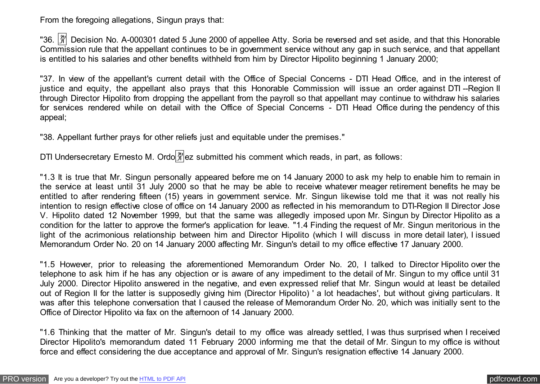From the foregoing allegations, Singun prays that:

"36.  $\frac{|\mathfrak{A}|}{|\mathfrak{A}|}$  Decision No. A-000301 dated 5 June 2000 of appellee Atty. Soria be reversed and set aside, and that this Honorable Commission rule that the appellant continues to be in government service without any gap in such service, and that appellant is entitled to his salaries and other benefits withheld from him by Director Hipolito beginning 1 January 2000;

"37. In view of the appellant's current detail with the Office of Special Concerns - DTI Head Office, and in the interest of justice and equity, the appellant also prays that this Honorable Commission will issue an order against DTI-Region II through Director Hipolito from dropping the appellant from the payroll so that appellant may continue to withdraw his salaries for services rendered while on detail with the Office of Special Concerns - DTI Head Office during the pendency of this appeal;

"38. Appellant further prays for other reliefs just and equitable under the premises."

DTI Undersecretary Ernesto M. Ordo $\frac{20}{3}$ ez submitted his comment which reads, in part, as follows:

"1.3 It is true that Mr. Singun personally appeared before me on 14 January 2000 to ask my help to enable him to remain in the service at least until 31 July 2000 so that he may be able to receive whatever meager retirement benefits he may be entitled to after rendering fifteen (15) years in government service. Mr. Singun likewise told me that it was not really his intention to resign effective close of office on 14 January 2000 as reflected in his memorandum to DTI-Region II Director Jose V. Hipolito dated 12 November 1999, but that the same was allegedly imposed upon Mr. Singun by Director Hipolito as a condition for the latter to approve the former's application for leave. "1.4 Finding the request of Mr. Singun meritorious in the light of the acrimonious relationship between him and Director Hipolito (which I will discuss in more detail later), I issued Memorandum Order No. 20 on 14 January 2000 affecting Mr. Singun's detail to my office effective 17 January 2000.

"1.5 However, prior to releasing the aforementioned Memorandum Order No. 20, I talked to Director Hipolito over the telephone to ask him if he has any objection or is aware of any impediment to the detail of Mr. Singun to my office until 31 July 2000. Director Hipolito answered in the negative, and even expressed relief that Mr. Singun would at least be detailed out of Region II for the latter is supposedly giving him (Director Hipolito) ' a lot headaches', but without giving particulars. It was after this telephone conversation that I caused the release of Memorandum Order No. 20, which was initially sent to the Office of Director Hipolito via fax on the afternoon of 14 January 2000.

"1.6 Thinking that the matter of Mr. Singun's detail to my office was already settled, I was thus surprised when I received Director Hipolito's memorandum dated 11 February 2000 informing me that the detail of Mr. Singun to my office is without force and effect considering the due acceptance and approval of Mr. Singun's resignation effective 14 January 2000.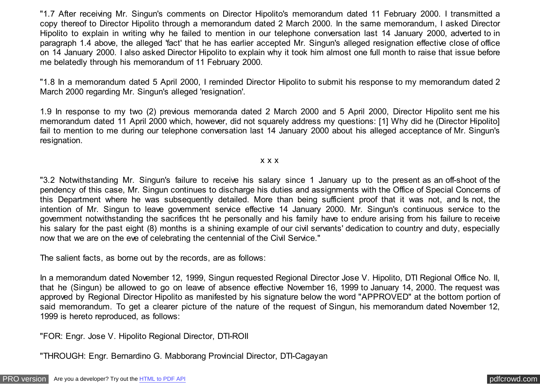"1.7 After receiving Mr. Singun's comments on Director Hipolito's memorandum dated 11 February 2000. I transmitted a copy thereof to Director Hipolito through a memorandum dated 2 March 2000. In the same memorandum, I asked Director Hipolito to explain in writing why he failed to mention in our telephone conversation last 14 January 2000, adverted to in paragraph 1.4 above, the alleged 'fact' that he has earlier accepted Mr. Singun's alleged resignation effective close of office on 14 January 2000. I also asked Director Hipolito to explain why it took him almost one full month to raise that issue before me belatedly through his memorandum of 11 February 2000.

"1.8 In a memorandum dated 5 April 2000, I reminded Director Hipolito to submit his response to my memorandum dated 2 March 2000 regarding Mr. Singun's alleged 'resignation'.

1.9 In response to my two (2) previous memoranda dated 2 March 2000 and 5 April 2000, Director Hipolito sent me his memorandum dated 11 April 2000 which, however, did not squarely address my questions: [1] Why did he (Director Hipolito] fail to mention to me during our telephone conversation last 14 January 2000 about his alleged acceptance of Mr. Singun's resignation.

#### x x x

"3.2 Notwithstanding Mr. Singun's failure to receive his salary since 1 January up to the present as an off-shoot of the pendency of this case, Mr. Singun continues to discharge his duties and assignments with the Office of Special Concerns of this Department where he was subsequently detailed. More than being sufficient proof that it was not, and Is not, the intention of Mr. Singun to leave government service effective 14 January 2000. Mr. Singun's continuous service to the government notwithstanding the sacrifices tht he personally and his family have to endure arising from his failure to receive his salary for the past eight (8) months is a shining example of our civil servants' dedication to country and duty, especially now that we are on the eve of celebrating the centennial of the Civil Service."

The salient facts, as borne out by the records, are as follows:

In a memorandum dated November 12, 1999, Singun requested Regional Director Jose V. Hipolito, DTI Regional Office No. II, that he (Singun) be allowed to go on leave of absence effective November 16, 1999 to January 14, 2000. The request was approved by Regional Director Hipolito as manifested by his signature below the word "APPROVED" at the bottom portion of said memorandum. To get a clearer picture of the nature of the request of Singun, his memorandum dated November 12, 1999 is hereto reproduced, as follows:

"FOR: Engr. Jose V. Hipolito Regional Director, DTI-ROII

"THROUGH: Engr. Bernardino G. Mabborang Provincial Director, DTI-Cagayan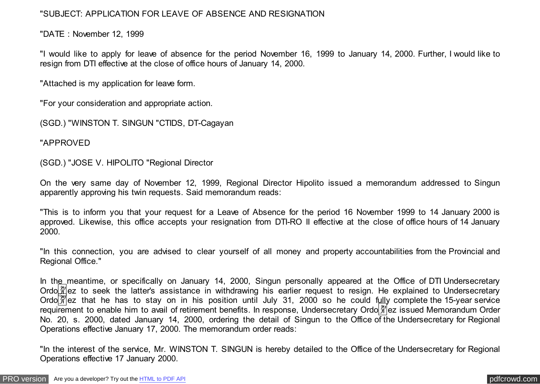### "SUBJECT: APPLICATION FOR LEAVE OF ABSENCE AND RESIGNATION

"DATE : November 12, 1999

"I would like to apply for leave of absence for the period November 16, 1999 to January 14, 2000. Further, I would like to resign from DTI effective at the close of office hours of January 14, 2000.

"Attached is my application for leave form.

"For your consideration and appropriate action.

(SGD.) "WINSTON T. SINGUN "CTIDS, DT-Cagayan

"APPROVED

(SGD.) "JOSE V. HIPOLITO "Regional Director

On the very same day of November 12, 1999, Regional Director Hipolito issued a memorandum addressed to Singun apparently approving his twin requests. Said memorandum reads:

"This is to inform you that your request for a Leave of Absence for the period 16 November 1999 to 14 January 2000 is approved. Likewise, this office accepts your resignation from DTI-RO II effective at the close of office hours of 14 January 2000.

"In this connection, you are advised to clear yourself of all money and property accountabilities from the Provincial and Regional Office."

In the meantime, or specifically on January 14, 2000, Singun personally appeared at the Office of DTI Undersecretary Ordo $\frac{20}{11}$ ez to seek the latter's assistance in withdrawing his earlier request to resign. He explained to Undersecretary Ordo $\frac{1}{20}$ ez that he has to stay on in his position until July 31, 2000 so he could fully complete the 15-year service requirement to enable him to avail of retirement benefits. In response, Undersecretary Ordo $\frac{20}{3}$ ez issued Memorandum Order No. 20, s. 2000, dated January 14, 2000, ordering the detail of Singun to the Office of the Undersecretary for Regional Operations effective January 17, 2000. The memorandum order reads:

"In the interest of the service, Mr. WINSTON T. SINGUN is hereby detailed to the Office of the Undersecretary for Regional Operations effective 17 January 2000.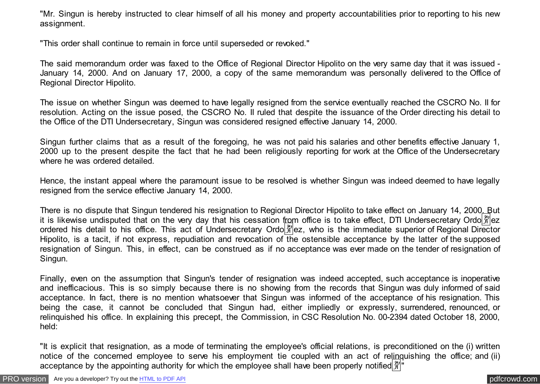"Mr. Singun is hereby instructed to clear himself of all his money and property accountabilities prior to reporting to his new assignment.

"This order shall continue to remain in force until superseded or revoked."

The said memorandum order was faxed to the Office of Regional Director Hipolito on the very same day that it was issued - January 14, 2000. And on January 17, 2000, a copy of the same memorandum was personally delivered to the Office of Regional Director Hipolito.

The issue on whether Singun was deemed to have legally resigned from the service eventually reached the CSCRO No. II for resolution. Acting on the issue posed, the CSCRO No. II ruled that despite the issuance of the Order directing his detail to the Office of the DTI Undersecretary, Singun was considered resigned effective January 14, 2000.

Singun further claims that as a result of the foregoing, he was not paid his salaries and other benefits effective January 1, 2000 up to the present despite the fact that he had been religiously reporting for work at the Office of the Undersecretary where he was ordered detailed.

Hence, the instant appeal where the paramount issue to be resolved is whether Singun was indeed deemed to have legally resigned from the service effective January 14, 2000.

There is no dispute that Singun tendered his resignation to Regional Director Hipolito to take effect on January 14, 2000. But it is likewise undisputed that on the very day that his cessation from office is to take effect, DTI Undersecretary Ordo $\frac{29}{11}$ ez ordered his detail to his office. This act of Undersecretary Ordo $\frac{\alpha}{2}$ ez, who is the immediate superior of Regional Director Hipolito, is a tacit, if not express, repudiation and revocation of the ostensible acceptance by the latter of the supposed resignation of Singun. This, in effect, can be construed as if no acceptance was ever made on the tender of resignation of Singun.

Finally, even on the assumption that Singun's tender of resignation was indeed accepted, such acceptance is inoperative and inefficacious. This is so simply because there is no showing from the records that Singun was duly informed of said acceptance. In fact, there is no mention whatsoever that Singun was informed of the acceptance of his resignation. This being the case, it cannot be concluded that Singun had, either impliedly or expressly, surrendered, renounced, or relinquished his office. In explaining this precept, the Commission, in CSC Resolution No. 00-2394 dated October 18, 2000, held:

"It is explicit that resignation, as a mode of terminating the employee's official relations, is preconditioned on the (i) written notice of the concerned employee to serve his employment tie coupled with an act of relinquishing the office; and (ii) acceptance by the appointing authority for which the employee shall have been properly notified  $\frac{1}{2}$ "